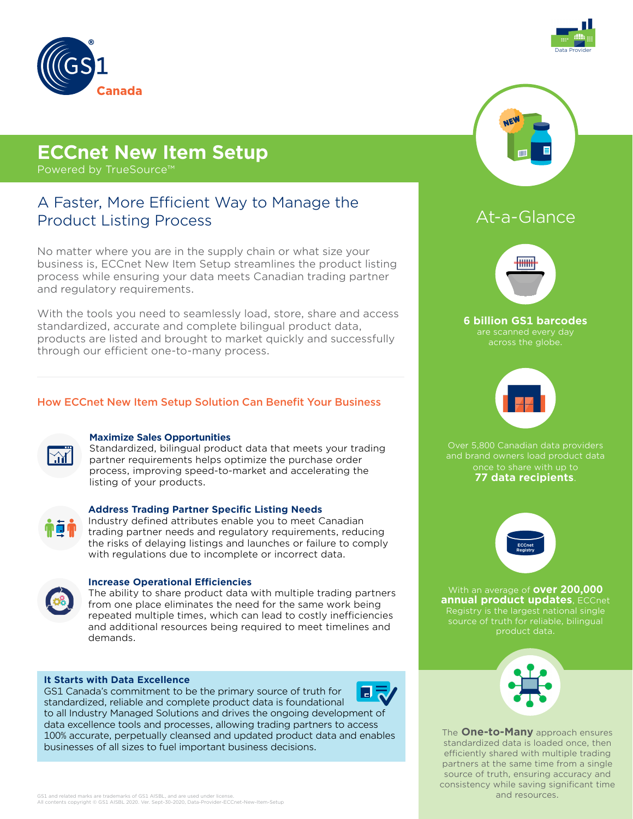



# **ECCnet New Item Setup**

Powered by TrueSource™

# A Faster, More Efficient Way to Manage the Product Listing Process

No matter where you are in the supply chain or what size your business is, ECCnet New Item Setup streamlines the product listing process while ensuring your data meets Canadian trading partner and regulatory requirements.

With the tools you need to seamlessly load, store, share and access standardized, accurate and complete bilingual product data, products are listed and brought to market quickly and successfully through our efficient one-to-many process.

### How ECCnet New Item Setup Solution Can Benefit Your Business



### **Maximize Sales Opportunities**

Standardized, bilingual product data that meets your trading partner requirements helps optimize the purchase order process, improving speed-to-market and accelerating the listing of your products.



### **Address Trading Partner Specific Listing Needs**

Industry defined attributes enable you to meet Canadian trading partner needs and regulatory requirements, reducing the risks of delaying listings and launches or failure to comply with regulations due to incomplete or incorrect data.



### **Increase Operational Efficiencies**

The ability to share product data with multiple trading partners from one place eliminates the need for the same work being repeated multiple times, which can lead to costly inefficiencies and additional resources being required to meet timelines and demands.

#### **It Starts with Data Excellence**

GS1 Canada's commitment to be the primary source of truth for standardized, reliable and complete product data is foundational to all Industry Managed Solutions and drives the ongoing development of data excellence tools and processes, allowing trading partners to access 100% accurate, perpetually cleansed and updated product data and enables businesses of all sizes to fuel important business decisions.



# At-a-Glance



**6 billion GS1 barcodes**  across the globe.



Over 5,800 Canadian data providers and brand owners load product data once to share with up to **77 data recipients**.



With an average of **over 200,000 annual product updates**, ECCnet Registry is the largest national single source of truth for reliable, bilingual product data.



The **One-to-Many** approach ensures standardized data is loaded once, then efficiently shared with multiple trading partners at the same time from a single source of truth, ensuring accuracy and consistency while saving significant time